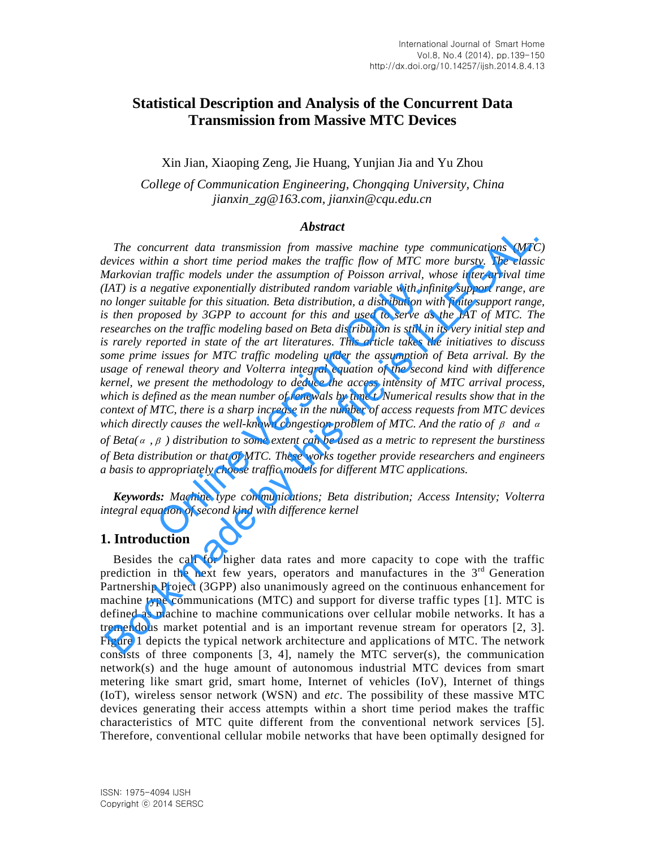# **Statistical Description and Analysis of the Concurrent Data Transmission from Massive MTC Devices**

Xin Jian, Xiaoping Zeng, Jie Huang, Yunjian Jia and Yu Zhou

*College of Communication Engineering, Chongqing University, China [jianxin\\_zg@163.com,](mailto:jianxin_zg@163.com) [jianxin@cqu.edu.cn](mailto:jianxin@cqu.edu.cn)*

### *Abstract*

*The concurrent data transmission from massive machine type communications (MTC) devices within a short time period makes the traffic flow of MTC more bursty. The classic Markovian traffic models under the assumption of Poisson arrival, whose inter-arrival time (IAT) is a negative exponentially distributed random variable with infinite support range, are no longer suitable for this situation. Beta distribution, a distribution with finite support range, is then proposed by 3GPP to account for this and used to serve as the IAT of MTC. The researches on the traffic modeling based on Beta distribution is still in its very initial step and is rarely reported in state of the art literatures. This article takes the initiatives to discuss some prime issues for MTC traffic modeling under the assumption of Beta arrival. By the usage of renewal theory and Volterra integral equation of the second kind with difference kernel, we present the methodology to deduce the access intensity of MTC arrival process, which is defined as the mean number of renewals by time t. Numerical results show that in the context of MTC, there is a sharp increase in the number of access requests from MTC devices*  which directly causes the well-known congestion problem of MTC. And the ratio of  $\beta$  and  $\alpha$ egative exponentially distributed random variable with infit unitable for this situation. Beta distribution, a distribution wives boy 3GPP to account for this and used to serve as on the traffic modeling based on Beta dist **EXECUTE:** The concurrent data transmission from massive machine type communications (MTC wores within a short time period makes the traffic flow of MTC more bursty. The class<br>darkwoids rardic models under the assumption

*of Beta*( $\alpha$ ,  $\beta$ ) distribution to some extent can be used as a metric to represent the burstiness *of Beta distribution or that of MTC. These works together provide researchers and engineers a basis to appropriately choose traffic models for different MTC applications.* 

*Keywords: Machine type communications; Beta distribution; Access Intensity; Volterra integral equation of second kind with difference kernel* 

# **1. Introduction**

Besides the call for higher data rates and more capacity to cope with the traffic prediction in the next few years, operators and manufactures in the  $3<sup>rd</sup>$  Generation Partnership Project (3GPP) also unanimously agreed on the continuous enhancement for machine type communications (MTC) and support for diverse traffic types [1]. MTC is defined as machine to machine communications over cellular mobile networks. It has a tremendous market potential and is an important revenue stream for operators [2, 3]. Figure 1 depicts the typical network architecture and applications of MTC. The network consists of three components  $[3, 4]$ , namely the MTC server(s), the communication network(s) and the huge amount of autonomous industrial MTC devices from smart metering like smart grid, smart home, Internet of vehicles (IoV), Internet of things (IoT), wireless sensor network (WSN) and *etc*. The possibility of these massive MTC devices generating their access attempts within a short time period makes the traffic characteristics of MTC quite different from the conventional network services [5]. Therefore, conventional cellular mobile networks that have been optimally designed for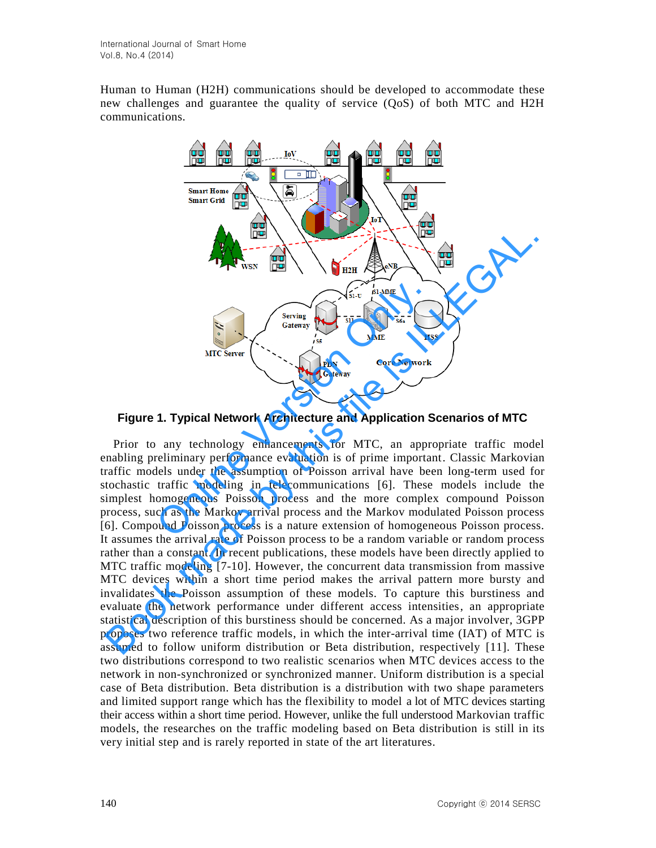Human to Human (H2H) communications should be developed to accommodate these new challenges and guarantee the quality of service (QoS) of both MTC and H2H communications.



**Figure 1. Typical Network Architecture and Application Scenarios of MTC** 

Prior to any technology enhancements for MTC, an appropriate traffic model enabling preliminary performance evaluation is of prime important. Classic Markovian traffic models under the assumption of Poisson arrival have been long-term used for stochastic traffic modeling in telecommunications [6]. These models include the simplest homogeneous Poisson process and the more complex compound Poisson process, such as the Markov arrival process and the Markov modulated Poisson process [6]. Compound Poisson process is a nature extension of homogeneous Poisson process. It assumes the arrival rate of Poisson process to be a random variable or random process rather than a constant. In recent publications, these models have been directly applied to MTC traffic modeling [7-10]. However, the concurrent data transmission from massive MTC devices within a short time period makes the arrival pattern more bursty and invalidates the Poisson assumption of these models. To capture this burstiness and evaluate the network performance under different access intensities, an appropriate statistical description of this burstiness should be concerned. As a major involver, 3GPP proposes two reference traffic models, in which the inter-arrival time (IAT) of MTC is assumed to follow uniform distribution or Beta distribution, respectively [11]. These two distributions correspond to two realistic scenarios when MTC devices access to the network in non-synchronized or synchronized manner. Uniform distribution is a special case of Beta distribution. Beta distribution is a distribution with two shape parameters and limited support range which has the flexibility to model a lot of MTC devices starting their access within a short time period. However, unlike the full understood Markovian traffic models, the researches on the traffic modeling based on Beta distribution is still in its very initial step and is rarely reported in state of the art literatures. THE TRIST CONSIDERATION CONTINUES TO THE TRIST CONSIDERATION CONSIDERATION CONSIDERATION CONSIDERATION CONSIDERATION CONSIDERATION CONSIDERATION CONSIDERATION CONSIDERATION CONSIDERATION CONSIDERATION CONSIDERATION CONSIDE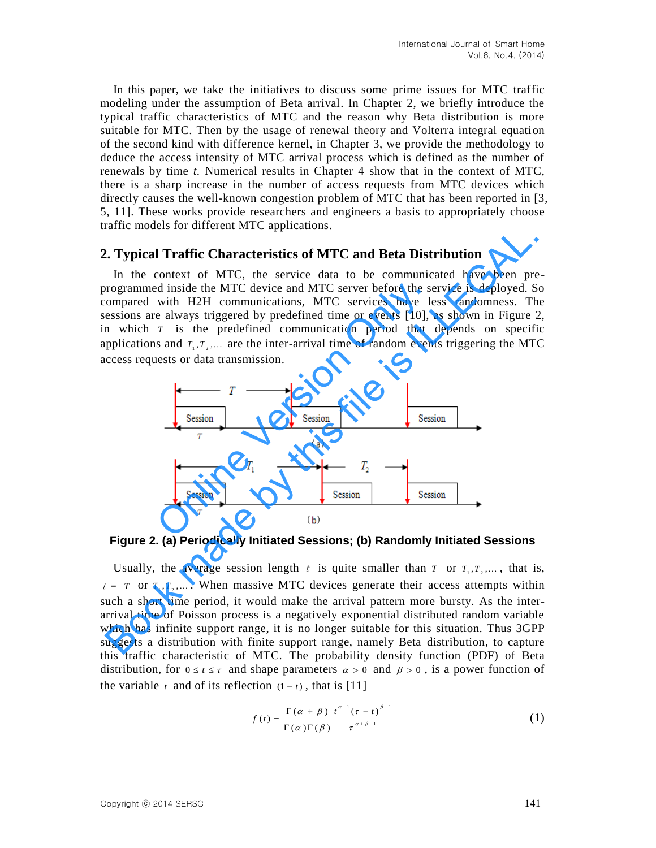In this paper, we take the initiatives to discuss some prime issues for MTC traffic modeling under the assumption of Beta arrival. In Chapter 2, we briefly introduce the typical traffic characteristics of MTC and the reason why Beta distribution is more suitable for MTC. Then by the usage of renewal theory and Volterra integral equation of the second kind with difference kernel, in Chapter 3, we provide the methodology to deduce the access intensity of MTC arrival process which is defined as the number of renewals by time *t.* Numerical results in Chapter 4 show that in the context of MTC, there is a sharp increase in the number of access requests from MTC devices which directly causes the well-known congestion problem of MTC that has been reported in [3, 5, 11]. These works provide researchers and engineers a basis to appropriately choose traffic models for different MTC applications.

# **2. Typical Traffic Characteristics of MTC and Beta Distribution**

In the context of MTC, the service data to be communicated have been preprogrammed inside the MTC device and MTC server before the service is deployed. So compared with H2H communications, MTC services have less randomness. The sessions are always triggered by predefined time or events [10], as shown in Figure 2, in which  $T$  is the predefined communication period that depends on specific applications and  $T_1, T_2, \ldots$  are the inter-arrival time of random events triggering the MTC access requests or data transmission.



**Figure 2. (a) Periodically Initiated Sessions; (b) Randomly Initiated Sessions** 

Usually, the average session length  $t$  is quite smaller than  $T$  or  $T_1, T_2, \dots$ , that is,  $t = T$  or  $T_1, T_2, \dots$ . When massive MTC devices generate their access attempts within such a short time period, it would make the arrival pattern more bursty. As the interarrival time of Poisson process is a negatively exponential distributed random variable which has infinite support range, it is no longer suitable for this situation. Thus 3GPP suggests a distribution with finite support range, namely Beta distribution, to capture this traffic characteristic of MTC. The [probability density function](http://en.wikipedia.org/wiki/Probability_density_function) (PDF) of Beta distribution, for  $0 \le t \le \tau$  and shape parameters  $\alpha > 0$  and  $\beta > 0$ , is a [power function](http://en.wikipedia.org/wiki/Power_function) of the variable  $t$  and of its [reflection](http://en.wikipedia.org/wiki/Reflection_formula)  $(1-t)$ , that is [11]

$$
f(t) = \frac{\Gamma(\alpha + \beta)}{\Gamma(\alpha)\Gamma(\beta)} \frac{t^{\alpha - 1}(\tau - t)^{\beta - 1}}{\tau^{\alpha + \beta - 1}}
$$
(1)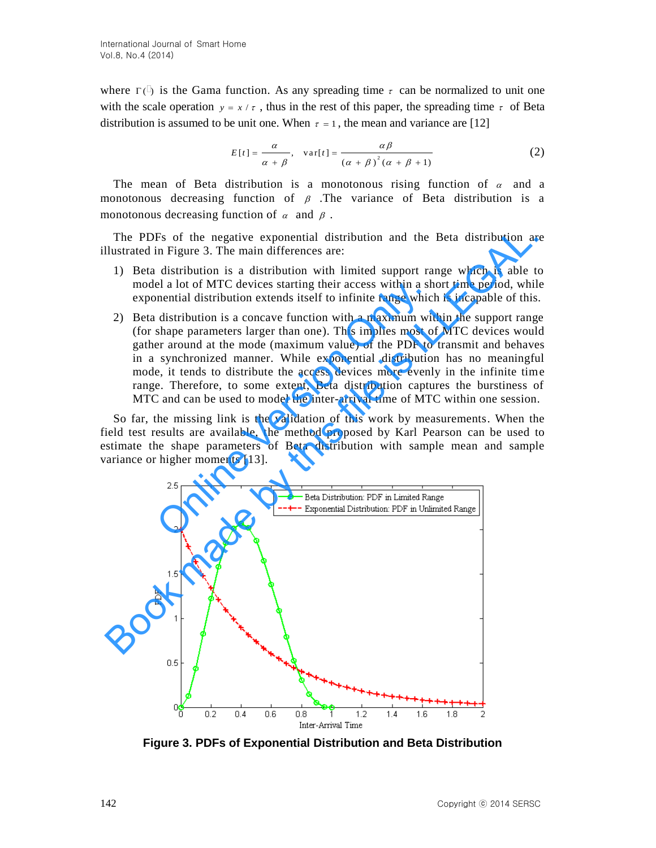where  $\Gamma(\bar{C})$  is the Gama function. As any spreading time  $\tau$  can be normalized to unit one with the scale operation  $y = x / \tau$ , thus in the rest of this paper, the spreading time  $\tau$  of Beta distribution is assumed to be unit one. When  $\tau = 1$ , the mean and variance are [12]

$$
E[t] = \frac{\alpha}{\alpha + \beta}, \quad \text{var}[t] = \frac{\alpha \beta}{\left(\alpha + \beta\right)^2 \left(\alpha + \beta + 1\right)}\tag{2}
$$

The mean of Beta distribution is a monotonous rising function of  $\alpha$  and a monotonous decreasing function of  $\beta$ . The variance of Beta distribution is a monotonous decreasing function of  $\alpha$  and  $\beta$ .

The PDFs of the negative exponential distribution and the Beta distribution are illustrated in Figure 3. The main differences are:

- 1) Beta distribution is a distribution with limited support range which is able to model a lot of MTC devices starting their access within a short time period, while exponential distribution extends itself to infinite range which is incapable of this.
- 2) Beta distribution is a concave function with a maximum within the support range (for shape parameters larger than one). This implies most of MTC devices would gather around at the mode (maximum value) of the PDF to transmit and behaves in a synchronized manner. While exponential distribution has no meaningful mode, it tends to distribute the access devices more evenly in the infinite time range. Therefore, to some extent, Beta distribution captures the burstiness of MTC and can be used to model the inter-arrival time of MTC within one session. el a lot of MTC devices starting their access within a sh<br>nential distribution extends itself to infinite range which<br>distribution is a concave function with a maximum with<br>shape parameters larger than one). This implies m

So far, the missing link is the validation of this work by measurements. When the field test results are available, the method proposed by Karl Pearson can be used to estimate the shape parameters of Beta distribution with sample mean and sample variance or higher moments [13].



**Figure 3. PDFs of Exponential Distribution and Beta Distribution**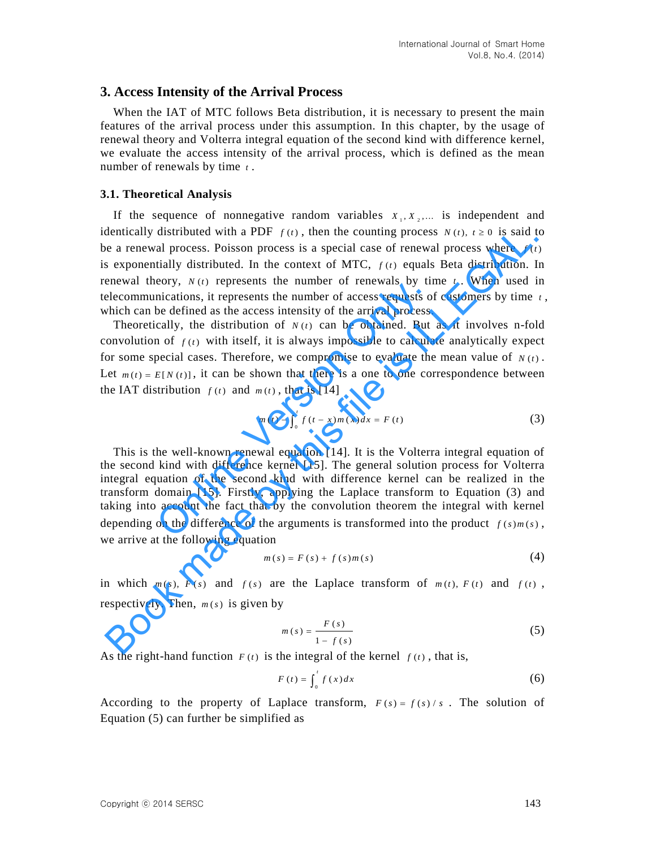### **3. Access Intensity of the Arrival Process**

When the IAT of MTC follows Beta distribution, it is necessary to present the main features of the arrival process under this assumption. In this chapter, by the usage of renewal theory and Volterra integral equation of the second kind with difference kernel, we evaluate the access intensity of the arrival process, which is defined as the mean number of renewals by time *t* .

#### **3.1. Theoretical Analysis**

If the sequence of nonnegative random variables  $X_1, X_2, \ldots$  is independent and identically distributed with a PDF  $f(t)$ , then the counting process  $N(t)$ ,  $t \ge 0$  is said to be a renewal process. Poisson process is a special case of renewal process where  $f(t)$ is exponentially distributed. In the context of MTC,  $f(t)$  equals Beta distribution. In renewal theory,  $N(t)$  represents the number of renewals by time  $t$ . When used in telecommunications, it represents the number of access requests of customers by time *t* , which can be defined as the access intensity of the arrival process.

Theoretically, the distribution of  $N(t)$  can be obtained. But as it involves n-fold convolution of  $f(t)$  with itself, it is always impossible to calculate analytically expect for some special cases. Therefore, we compromise to evaluate the mean value of  $N(t)$ . Let  $m(t) = E[N(t)]$ , it can be shown that there is a one to one correspondence between the IAT distribution  $f(t)$  and  $m(t)$ , that is [14]

$$
m(t) - \int_0^t f(t - x) m(x) dx = F(t)
$$
 (3)

This is the well-known renewal equation [14]. It is the Volterra integral equation of the second kind with difference kernel [15]. The general solution process for Volterra integral equation of the second kind with difference kernel can be realized in the transform domain [15]. Firstly, applying the Laplace transform to Equation (3) and taking into account the fact that by the convolution theorem the integral with kernel depending on the difference of the arguments is transformed into the product  $f(s)m(s)$ , we arrive at the following equation being the interest in the multiple of reliests of the arguments of the defined as the access intensity of the arrival process.<br>cally, the distribution of  $N(t)$  can be obtained. But n of  $f(t)$  with itself, it is always imp dentically distributed with a PDF  $f(t)$ , then the counting process  $N(t)$ ,  $t \ge 0$  is said to<br>
e a renowal process. Poison process is a special case of renewal spotes where  $f(t)$ <br>
enewal theory,  $N(t)$  represents the number

$$
m(s) = F(s) + f(s)m(s)
$$
 (4)

in which  $m(s)$ ,  $F(s)$  and  $f(s)$  are the Laplace transform of  $m(t)$ ,  $F(t)$  and  $f(t)$ , respectively. Then,  $m(s)$  is given by

$$
m(s) = \frac{F(s)}{1 - f(s)}\tag{5}
$$

As the right-hand function  $F(t)$  is the integral of the kernel  $f(t)$ , that is,

$$
F(t) = \int_0^t f(x) dx
$$
 (6)

According to the property of Laplace transform,  $F(s) = f(s)/s$ . The solution of Equation (5) can further be simplified as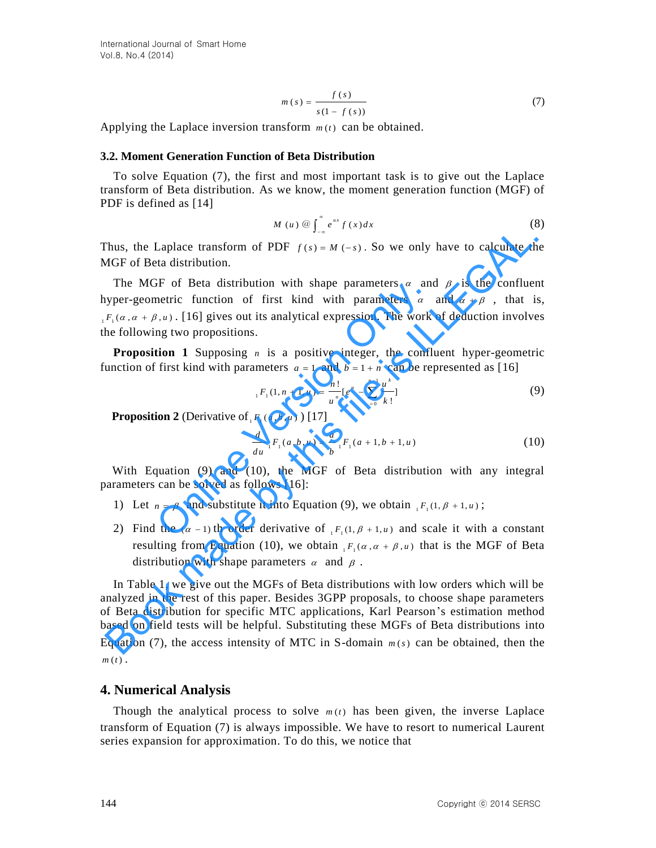$$
m(s) = \frac{f(s)}{s(1 - f(s))}
$$
\n<sup>(7)</sup>

Applying the Laplace inversion transform  $m(t)$  can be obtained.

#### **3.2. Moment Generation Function of Beta Distribution**

To solve Equation (7), the first and most important task is to give out the Laplace transform of Beta distribution. As we know, the moment generation function (MGF) of PDF is defined as [14]

$$
M(u) \circledcirc \int_{-\infty}^{\infty} e^{ux} f(x) dx \tag{8}
$$

Thus, the Laplace transform of PDF  $f(s) = M(-s)$ . So we only have to calculate the MGF of Beta distribution.

The MGF of Beta distribution with shape parameters  $\alpha$  and  $\beta$  is the confluent hyper-geometric function of first kind with parameters  $\alpha$  and  $\alpha + \beta$ , that is,  $_1 F_1(\alpha, \alpha + \beta, u)$ . [16] gives out its analytical expression. The work of deduction involves the following two propositions. or of Beta distribution with shape parameters  $\alpha$  and<br>netric function of first kind with parameters  $\alpha$ <br>netric function of first kind with parameters  $\alpha$ <br>netron 1 Suppositions.<br>**ion 1** Supposing *n* is a positive integ

**Proposition 1** Supposing *n* is a positive integer, the confluent hyper-geometric function of first kind with parameters  $a = 1$  and  $b = 1 + n$  can be represented as [16]

$$
{}_{1}F_{1}(1, n+1, u) = \frac{n!}{u^{n}} [e^{u} - \sum_{=0}^{n-1} \frac{u^{k}}{k!}]
$$
 (9)

**Proposition 2** (Derivative of  $F_1(a, b, u)$ ) [17]

$$
\frac{d}{du} {}_1F_1(a, b, u) = \frac{a}{b} {}_1F_1(a + 1, b + 1, u)
$$
\n(10)

With Equation (9) and (10), the MGF of Beta distribution with any integral parameters can be solved as follows [16]:

- 1) Let  $n = \beta$  and substitute it into Equation (9), we obtain  ${}_{1}F_{1}(1, \beta + 1, u)$ ;
- 2) Find the  $(\alpha 1)$  th order derivative of  $_1F_1(1, \beta + 1, u)$  and scale it with a constant resulting from Equation (10), we obtain  $_1F_1(\alpha, \alpha + \beta, u)$  that is the MGF of Beta distribution with shape parameters  $\alpha$  and  $\beta$ .

In Table 1, we give out the MGFs of Beta distributions with low orders which will be analyzed in the rest of this paper. Besides 3GPP proposals, to choose shape parameters of Beta distribution for specific MTC applications, Karl Pearson's estimation method based on field tests will be helpful. Substituting these MGFs of Beta distributions into Equation (7), the access intensity of MTC in S-domain  $m(s)$  can be obtained, then the  $m(t)$ . The Kinder transform of PDF  $f(s) = M(-s)$ . So we only have to calculate the<br>
HGF of Beta distribution.<br>
The MGF of Beta distribution with shape parameters  $\alpha$  and  $\beta$  is the confluer<br>
typer-geometric function of first kind

### **4. Numerical Analysis**

Though the analytical process to solve  $m(t)$  has been given, the inverse Laplace transform of Equation (7) is always impossible. We have to resort to numerical Laurent series expansion for approximation. To do this, we notice that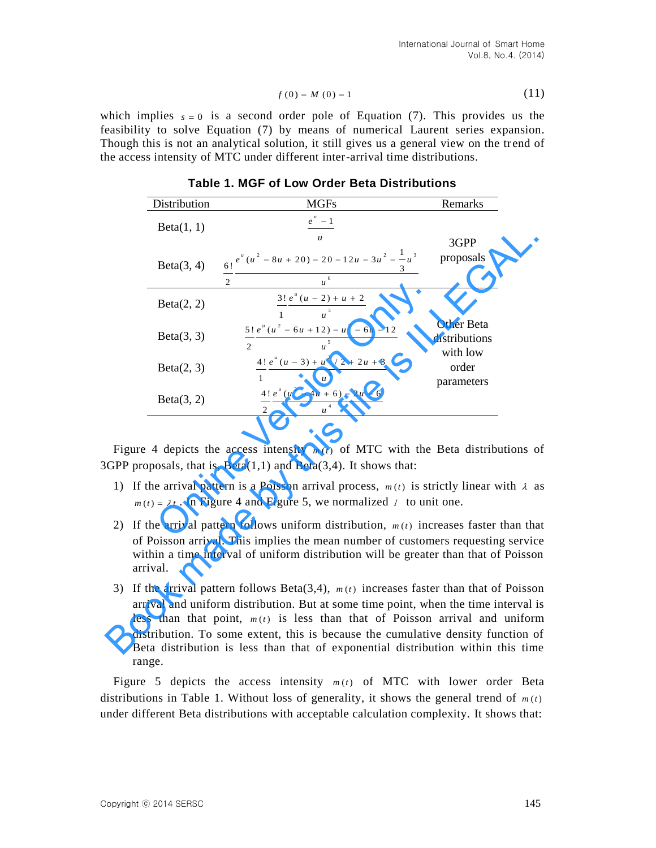$$
f(0) = M(0) = 1
$$
 (11)

| <b>Table 1. MGF of Low Order Beta Distributions</b> |                                                                                                                                                                                                                                                                                                                                                                                                                                           |                     |
|-----------------------------------------------------|-------------------------------------------------------------------------------------------------------------------------------------------------------------------------------------------------------------------------------------------------------------------------------------------------------------------------------------------------------------------------------------------------------------------------------------------|---------------------|
| Distribution                                        | <b>MGFs</b>                                                                                                                                                                                                                                                                                                                                                                                                                               | Remarks             |
| Beta(1, 1)                                          | $e^u-1$                                                                                                                                                                                                                                                                                                                                                                                                                                   |                     |
|                                                     | $\boldsymbol{\mathcal{U}}$                                                                                                                                                                                                                                                                                                                                                                                                                | 3GPP                |
| Beta(3, 4)                                          |                                                                                                                                                                                                                                                                                                                                                                                                                                           | proposals           |
|                                                     | $\frac{6!}{2} \frac{e^{u}(u^{2} - 8u + 20) - 20 - 12u - 3u^{2} - \frac{1}{3}u^{3}}{u^{6}}$                                                                                                                                                                                                                                                                                                                                                |                     |
| Beta(2, 2)                                          | $\frac{3!}{1} \frac{e^u (u - 2) + u + 2}{u^3}$                                                                                                                                                                                                                                                                                                                                                                                            |                     |
|                                                     |                                                                                                                                                                                                                                                                                                                                                                                                                                           | Other Beta          |
| Beta(3, 3)                                          | $\frac{5!}{2} \frac{e^u(u^2 - 6u + 12) - u^2 - 6u - 12}{u^5}$                                                                                                                                                                                                                                                                                                                                                                             | distributions       |
|                                                     |                                                                                                                                                                                                                                                                                                                                                                                                                                           | with low            |
| Beta(2, 3)                                          | $\frac{4!}{1} \frac{e^u (u - 3) + u^2 / 2 + 2u + 3}{u^4}$                                                                                                                                                                                                                                                                                                                                                                                 | order<br>parameters |
| Beta(3, 2)                                          | $\frac{4!}{2} \frac{e^u(u^2 - 4u + 6) - 2u - 6}{u^4}$                                                                                                                                                                                                                                                                                                                                                                                     |                     |
|                                                     | Figure 4 depicts the access intensity $m(t)$ of MTC with the Beta distributions o                                                                                                                                                                                                                                                                                                                                                         |                     |
|                                                     | 3GPP proposals, that is, $Beta(1,1)$ and $Beta(3,4)$ . It shows that:                                                                                                                                                                                                                                                                                                                                                                     |                     |
|                                                     | 1) If the arrival pattern is a Poisson arrival process, $m(t)$ is strictly linear with $\lambda$ a                                                                                                                                                                                                                                                                                                                                        |                     |
|                                                     | $m(t) = \lambda t$ . In Figure 4 and Figure 5, we normalized 1 to unit one.                                                                                                                                                                                                                                                                                                                                                               |                     |
|                                                     | 2) If the arrival pattern follows uniform distribution, $m(t)$ increases faster than that                                                                                                                                                                                                                                                                                                                                                 |                     |
| arrıval.                                            | of Poisson arrival. This implies the mean number of customers requesting service<br>within a time interval of uniform distribution will be greater than that of Poisson                                                                                                                                                                                                                                                                   |                     |
| range.                                              | 3) If the arrival pattern follows Beta(3,4), $m(t)$ increases faster than that of Poisson<br>arrival and uniform distribution. But at some time point, when the time interval is<br>less than that point, $m(t)$ is less than that of Poisson arrival and uniform<br>distribution. To some extent, this is because the cumulative density function of<br>Beta distribution is less than that of exponential distribution within this time |                     |
|                                                     | Figure 5 depicts the access intensity $m(t)$ of MTC with lower order Beta                                                                                                                                                                                                                                                                                                                                                                 |                     |
|                                                     | distributions in Table 1. Without loss of generality, it shows the general trend of $m(t)$<br>under different Beta distributions with acceptable calculation complexity. It shows that:                                                                                                                                                                                                                                                   |                     |

**Table 1. MGF of Low Order Beta Distributions** 

- 1) If the arrival pattern is a Poisson arrival process,  $m(t)$  is strictly linear with  $\lambda$  as  $m(t) = \lambda t$ . In Figure 4 and Figure 5, we normalized  $\lambda$  to unit one.
- 2) If the arrival pattern follows uniform distribution,  $m(t)$  increases faster than that of Poisson arrival. This implies the mean number of customers requesting service within a time interval of uniform distribution will be greater than that of Poisson arrival.
- 3) If the arrival pattern follows Beta $(3,4)$ ,  $m(t)$  increases faster than that of Poisson arrival and uniform distribution. But at some time point, when the time interval is less than that point,  $m(t)$  is less than that of Poisson arrival and uniform distribution. To some extent, this is because the cumulative density function of Beta distribution is less than that of exponential distribution within this time range.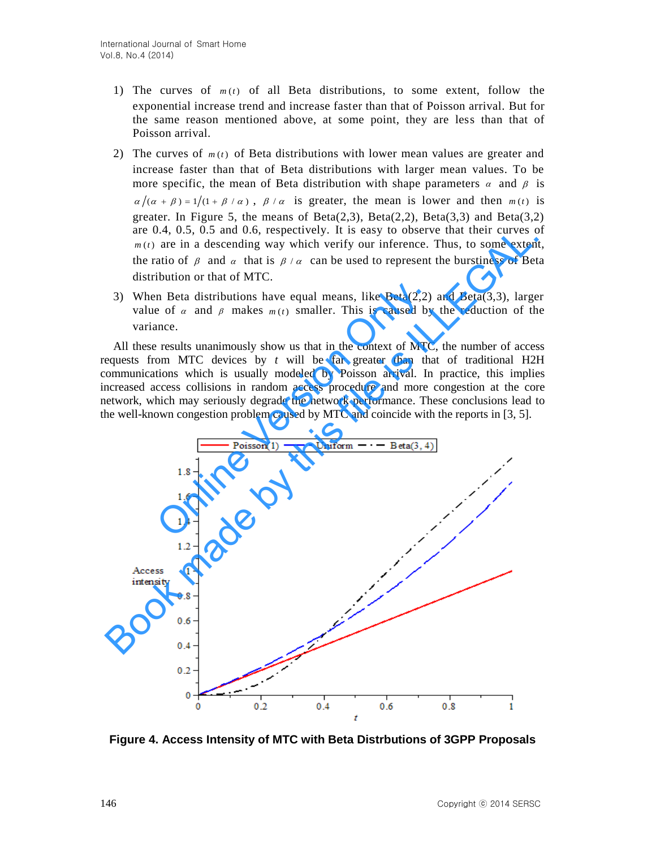- 1) The curves of  $m(t)$  of all Beta distributions, to some extent, follow the exponential increase trend and increase faster than that of Poisson arrival. But for the same reason mentioned above, at some point, they are less than that of Poisson arrival.
- 2) The curves of  $m(t)$  of Beta distributions with lower mean values are greater and increase faster than that of Beta distributions with larger mean values. To be more specific, the mean of Beta distribution with shape parameters  $\alpha$  and  $\beta$  is  $\alpha/(\alpha + \beta) = 1/(1 + \beta / \alpha)$ ,  $\beta / \alpha$  is greater, the mean is lower and then  $m(t)$  is greater. In Figure 5, the means of  $Beta(2,3)$ ,  $Beta(2,2)$ ,  $Beta(3,3)$  and  $Beta(3,2)$ are 0.4, 0.5, 0.5 and 0.6, respectively. It is easy to observe that their curves of  $m(t)$  are in a descending way which verify our inference. Thus, to some extent, the ratio of  $\beta$  and  $\alpha$  that is  $\beta / \alpha$  can be used to represent the burstiness of Beta distribution or that of MTC.
- 3) When Beta distributions have equal means, like  $Beta(2,2)$  and  $Beta(3,3)$ , larger value of  $\alpha$  and  $\beta$  makes  $m(t)$  smaller. This is caused by the reduction of the variance.

All these results unanimously show us that in the context of MTC, the number of access requests from MTC devices by *t* will be far greater than that of traditional H2H communications which is usually modeled by Poisson arrival. In practice, this implies increased access collisions in random access procedure and more congestion at the core network, which may seriously degrade the network performance. These conclusions lead to the well-known congestion problem caused by MTC and coincide with the reports in [3, 5].



**Figure 4. Access Intensity of MTC with Beta Distrbutions of 3GPP Proposals**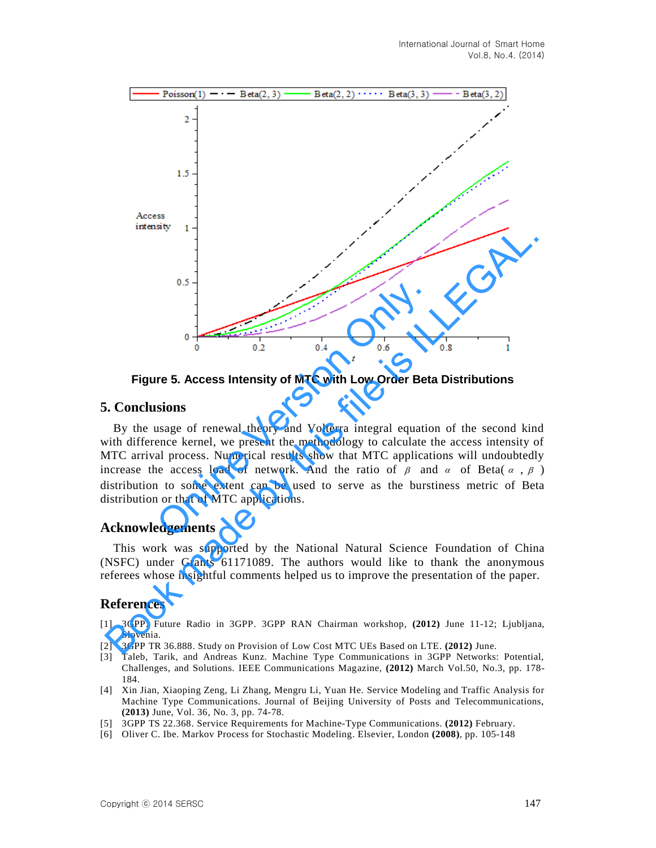

**Figure 5. Access Intensity of MTC with Low Order Beta Distributions**

# **5. Conclusions**

By the usage of renewal theory and Volterra integral equation of the second kind with difference kernel, we present the methodology to calculate the access intensity of MTC arrival process. Numerical results show that MTC applications will undoubtedly increase the access load of network. And the ratio of  $\beta$  and  $\alpha$  of Beta( $\alpha$ ,  $\beta$ ) distribution to some extent can be used to serve as the burstiness metric of Beta distribution or that of MTC applications.

# **Acknowledgements**

This work was supported by the National Natural Science Foundation of China (NSFC) under Grants 61171089. The authors would like to thank the anonymous referees whose insightful comments helped us to improve the presentation of the paper.

# **References**

- [1] 3GPP. Future Radio in 3GPP. 3GPP RAN Chairman workshop, **(2012)** June 11-12; Ljubljana, Slovenia.
- [2] 3GPP TR 36.888. Study on Provision of Low Cost MTC UEs Based on LTE. **(2012)** June.
- [3] Taleb, Tarik, and Andreas Kunz. Machine Type Communications in 3GPP Networks: Potential, Challenges, and Solutions. IEEE Communications Magazine, **(2012)** March Vol.50, No.3, pp. 178- 184.
- [4] Xin Jian, Xiaoping Zeng, Li Zhang, Mengru Li, Yuan He. Service Modeling and Traffic Analysis for Machine Type Communications. Journal of Beijing University of Posts and Telecommunications, **(2013)** June, Vol. 36, No. 3, pp. 74-78.
- [5] 3GPP TS 22.368. Service Requirements for Machine-Type Communications. **(2012)** February.
- [6] Oliver C. Ibe. Markov Process for Stochastic Modeling. Elsevier, London **(2008)**, pp. 105-148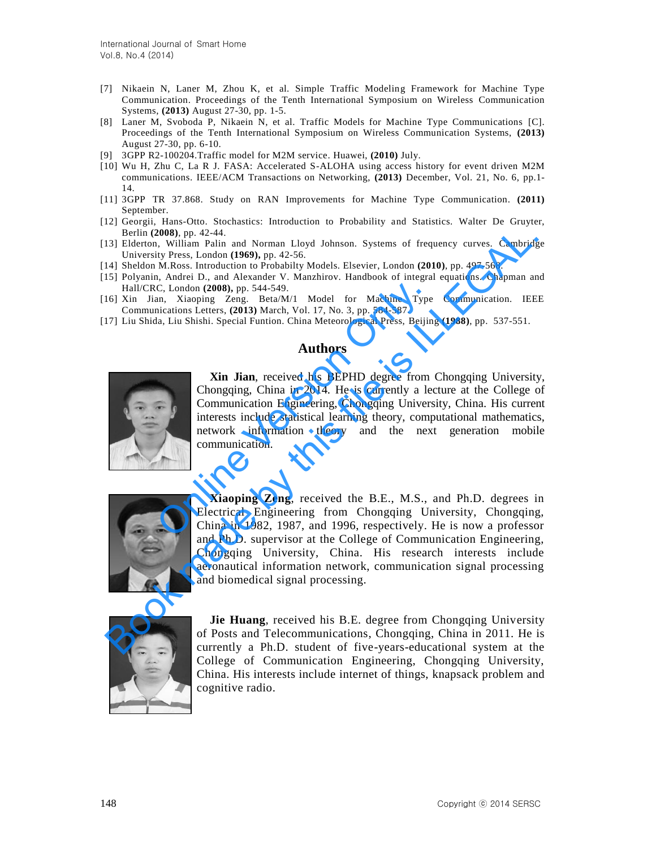- [7] Nikaein N, Laner M, Zhou K, et al. Simple Traffic Modeling Framework for Machine Type Communication. Proceedings of the Tenth International Symposium on Wireless Communication Systems, **(2013)** August 27-30, pp. 1-5.
- [8] Laner M, Svoboda P, Nikaein N, et al. Traffic Models for Machine Type Communications [C]. Proceedings of the Tenth International Symposium on Wireless Communication Systems, **(2013)**  August 27-30, pp. 6-10.
- [9] 3GPP R2-100204.Traffic model for M2M service. Huawei, **(2010)** July.
- [10] Wu H, Zhu C, La R J. FASA: Accelerated S-ALOHA using access history for event driven M2M communications. IEEE/ACM Transactions on Networking, **(2013)** December, Vol. 21, No. 6, pp.1- 14.
- [11] 3GPP TR 37.868. Study on RAN Improvements for Machine Type Communication. **(2011)**  September.
- [12] Georgii, Hans-Otto. Stochastics: Introduction to Probability and Statistics. Walter De Gruyter, Berlin **(2008)**, pp. 42-44.
- [13] Elderton, William Palin and Norman Lloyd Johnson. Systems of frequency curves. Cambridge University Press, London **(1969),** pp. 42-56.
- [14] Sheldon M.Ross. Introduction to Probabilty Models. Elsevier, London **(2010)**, pp. 497-568.
- [15] Polyanin, Andrei D., and Alexander V. Manzhirov. Handbook of integral equations. Chapman and Hall/CRC, London **(2008),** pp. 544-549.
- [16] Xin Jian, Xiaoping Zeng. Beta/M/1 Model for Machine Type Communication. IEEE Communications Letters, **(2013)** March, Vol. 17, No. 3, pp. 584-587.
- [17] Liu Shida, Liu Shishi. Special Funtion. China Meteorological Press, Beijing **(1988)**, pp. 537-551.

### **Authors**



**Xin Jian**, received his BEPHD degree from Chongqing University, Chongqing, China in 2014. He is currently a lecture at the College of Communication Engineering, Chongqing University, China. His current interests include statistical learning theory, computational mathematics, network information theory and the next generation mobile communication. C. London (2008), pp. 544-549.<br>
an, Xiaoping Zeng. Beta/M/1 Model for Machine Type<br>
incations Letters, (2013) March, Vol. 17, No. 3, pp. 584-587.<br>
an, Liu Shishi. Special Funtion. China Meteorological Press, Beijin<br> **Autho** 



**Xiaoping Zeng**, received the B.E., M.S., and Ph.D. degrees in Electrical Engineering from Chongqing University, Chongqing, China in 1982, 1987, and 1996, respectively. He is now a professor and Ph.D. supervisor at the College of Communication Engineering, Chongqing University, China. His research interests include aeronautical information network, communication signal processing and biomedical signal processing. Berlin (2008), p., 42-4,<br>
Berlin and Norman Lloyd Johnson. Systems of frequency curves. Cambridge<br>13) Elderton, William Palin and Norman Lloyd Johnson. Systems of frequency curves. Cambridge<br>14) Evolvania, Adress London (1



**Jie Huang**, received his B.E. degree from Chongqing University of Posts and Telecommunications, Chongqing, China in 2011. He is currently a Ph.D. student of five-years-educational system at the College of Communication Engineering, Chongqing University, China. His interests include internet of things, knapsack problem and cognitive radio.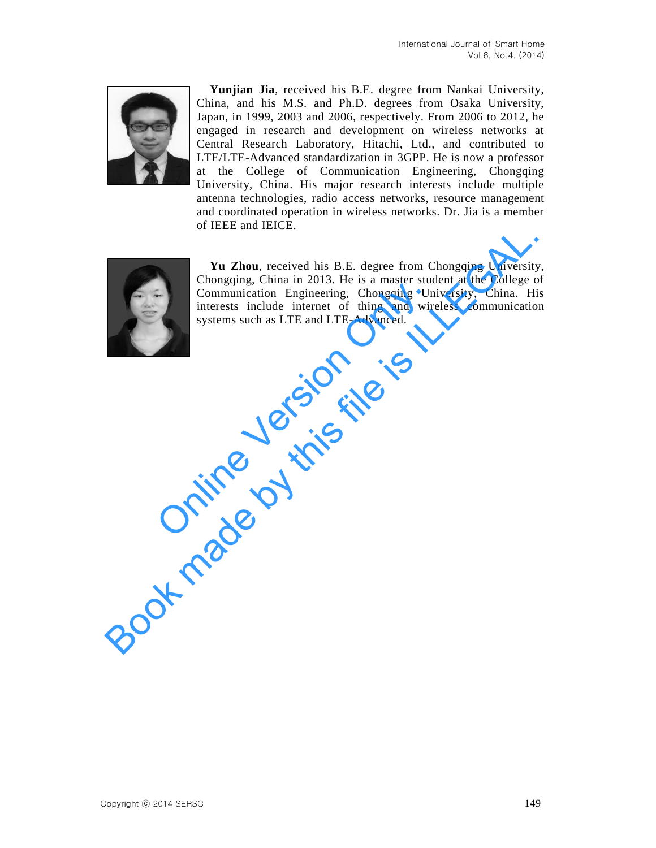

**Yunjian Jia**, received his B.E. degree from Nankai University, China, and his M.S. and Ph.D. degrees from Osaka University, Japan, in 1999, 2003 and 2006, respectively. From 2006 to 2012, he engaged in research and development on wireless networks at Central Research Laboratory, Hitachi, Ltd., and contributed to LTE/LTE-Advanced standardization in 3GPP. He is now a professor at the College of Communication Engineering, Chongqing University, China. His major research interests include multiple antenna technologies, radio access networks, resource management and coordinated operation in wireless networks. Dr. Jia is a member of IEEE and IEICE.



**Yu Zhou**, received his B.E. degree from Chongqing University, Chongqing, China in 2013. He is a master student at the College of Communication Engineering, Chongqing University, China. His interests include internet of thing and wireless communication systems such as LTE and LTE-Advanced. Communication Engineering, Chongqing Uniterests include internet of thing and wir systems such as LTE and LTE-Advanced. **Tu Zhou**, received his B.E. degree from Chongqing University<br>Chongqing, China in 2013. He is a master student at the College of<br>interests include internet of thing and wireless communication<br>systems such as LTE and LTE-Ad